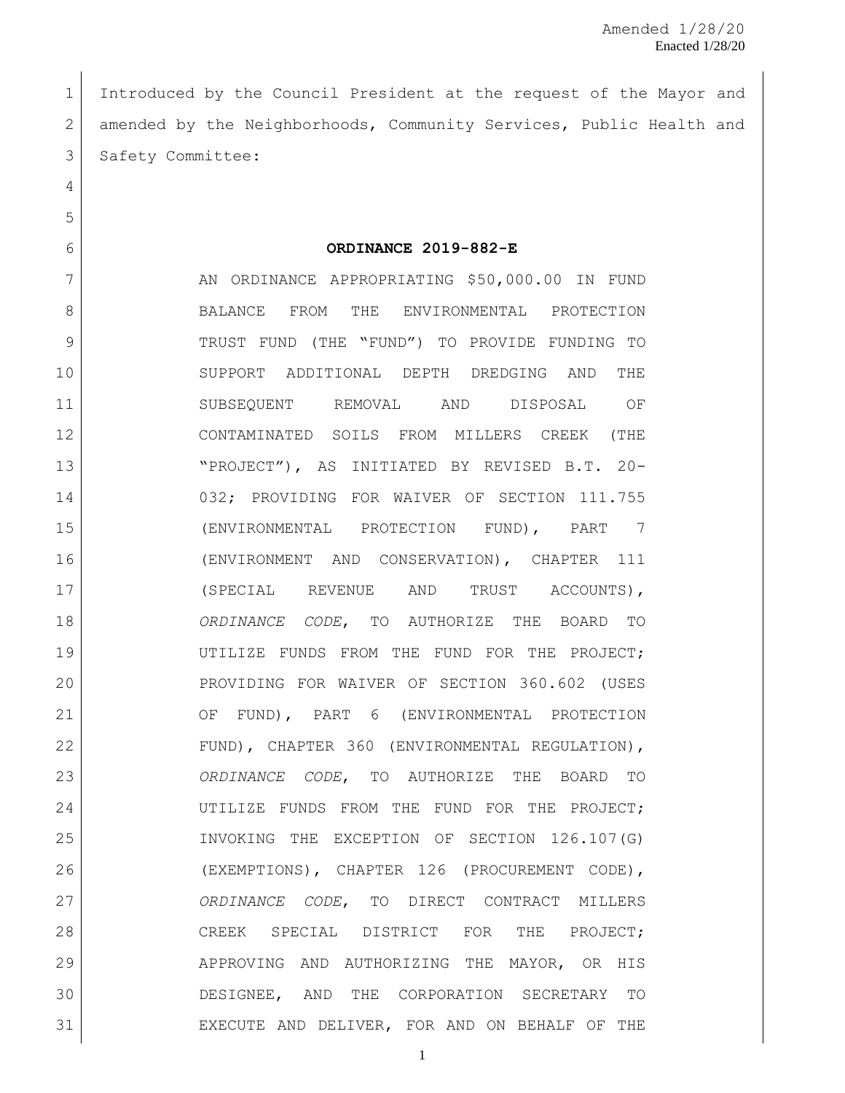Introduced by the Council President at the request of the Mayor and 2 amended by the Neighborhoods, Community Services, Public Health and 3 Safety Committee:

**ORDINANCE 2019-882-E**

7 AN ORDINANCE APPROPRIATING \$50,000.00 IN FUND 8 BALANCE FROM THE ENVIRONMENTAL PROTECTION TRUST FUND (THE "FUND") TO PROVIDE FUNDING TO SUPPORT ADDITIONAL DEPTH DREDGING AND THE SUBSEQUENT REMOVAL AND DISPOSAL OF CONTAMINATED SOILS FROM MILLERS CREEK (THE "PROJECT"), AS INITIATED BY REVISED B.T. 20- 032; PROVIDING FOR WAIVER OF SECTION 111.755 (ENVIRONMENTAL PROTECTION FUND), PART 7 (ENVIRONMENT AND CONSERVATION), CHAPTER 111 17 (SPECIAL REVENUE AND TRUST ACCOUNTS), *ORDINANCE CODE*, TO AUTHORIZE THE BOARD TO UTILIZE FUNDS FROM THE FUND FOR THE PROJECT; 20 PROVIDING FOR WAIVER OF SECTION 360.602 (USES OF FUND), PART 6 (ENVIRONMENTAL PROTECTION 22 FUND), CHAPTER 360 (ENVIRONMENTAL REGULATION), *ORDINANCE CODE*, TO AUTHORIZE THE BOARD TO UTILIZE FUNDS FROM THE FUND FOR THE PROJECT; INVOKING THE EXCEPTION OF SECTION 126.107(G) (EXEMPTIONS), CHAPTER 126 (PROCUREMENT CODE), *ORDINANCE CODE*, TO DIRECT CONTRACT MILLERS 28 CREEK SPECIAL DISTRICT FOR THE PROJECT; APPROVING AND AUTHORIZING THE MAYOR, OR HIS DESIGNEE, AND THE CORPORATION SECRETARY TO EXECUTE AND DELIVER, FOR AND ON BEHALF OF THE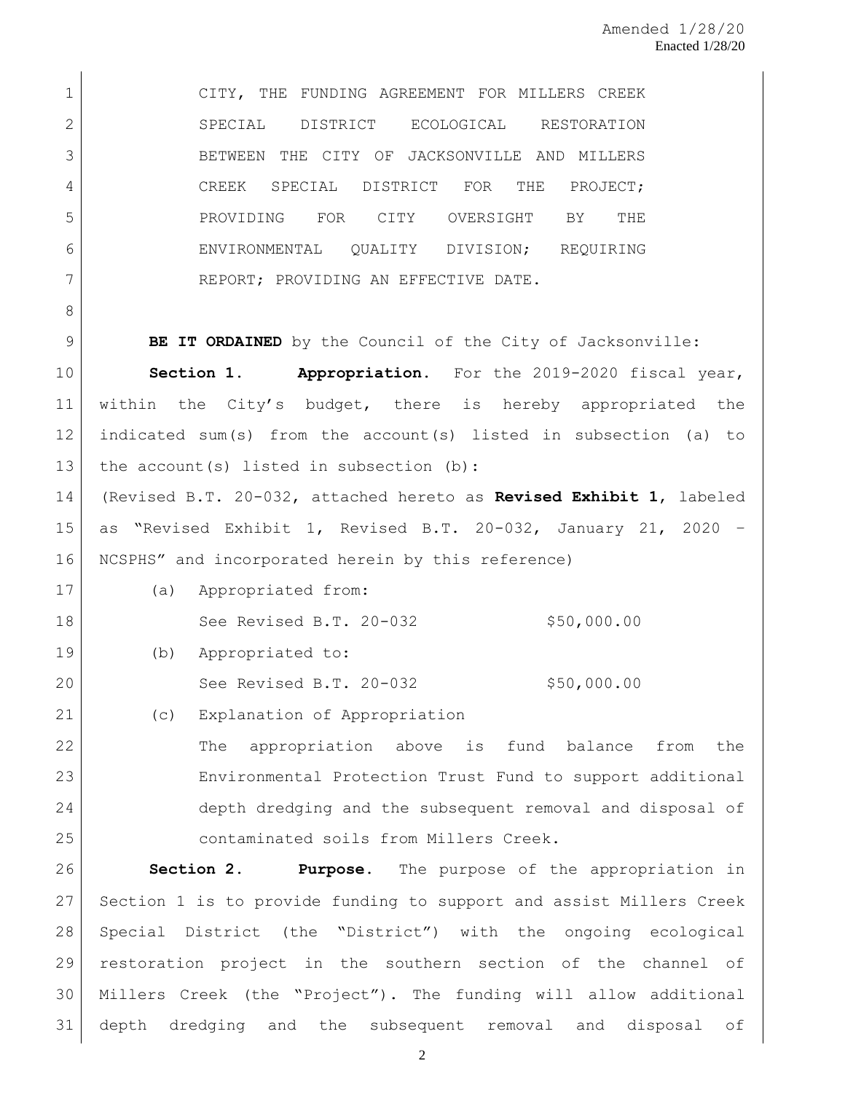CITY, THE FUNDING AGREEMENT FOR MILLERS CREEK SPECIAL DISTRICT ECOLOGICAL RESTORATION 3 BETWEEN THE CITY OF JACKSONVILLE AND MILLERS CREEK SPECIAL DISTRICT FOR THE PROJECT; PROVIDING FOR CITY OVERSIGHT BY THE 6 ENVIRONMENTAL QUALITY DIVISION; REQUIRING 7 REPORT; PROVIDING AN EFFECTIVE DATE. **BE IT ORDAINED** by the Council of the City of Jacksonville: **Section 1. Appropriation.** For the 2019-2020 fiscal year, within the City's budget, there is hereby appropriated the indicated sum(s) from the account(s) listed in subsection (a) to 13 | the account (s) listed in subsection (b): (Revised B.T. 20-032, attached hereto as **Revised Exhibit 1**, labeled as "Revised Exhibit 1, Revised B.T. 20-032, January 21, 2020 – NCSPHS" and incorporated herein by this reference) (a) Appropriated from: 18 See Revised B.T. 20-032 \$50,000.00 (b) Appropriated to: 20 See Revised B.T. 20-032 \$50,000.00 (c) Explanation of Appropriation 22 The appropriation above is fund balance from the Environmental Protection Trust Fund to support additional depth dredging and the subsequent removal and disposal of contaminated soils from Millers Creek. **Section 2. Purpose.** The purpose of the appropriation in

 Section 1 is to provide funding to support and assist Millers Creek Special District (the "District") with the ongoing ecological restoration project in the southern section of the channel of Millers Creek (the "Project"). The funding will allow additional depth dredging and the subsequent removal and disposal of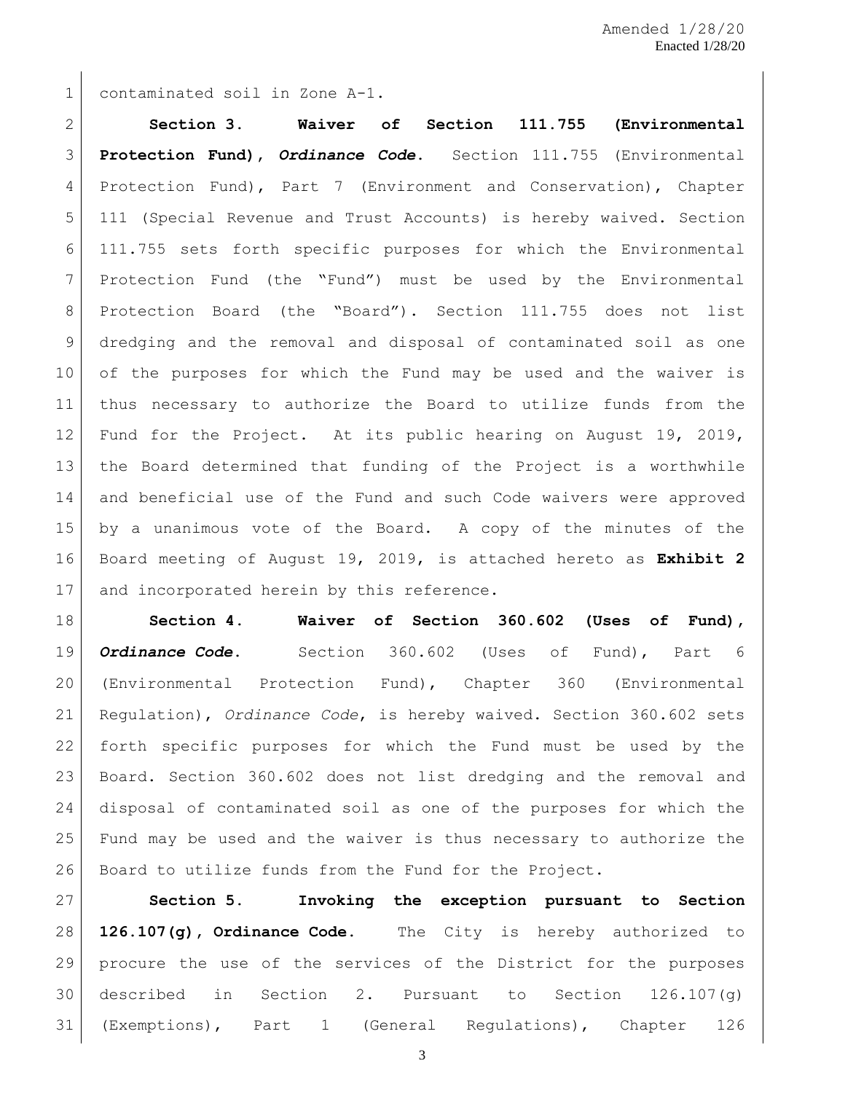contaminated soil in Zone A-1.

 **Section 3. Waiver of Section 111.755 (Environmental Protection Fund),** *Ordinance Code***.** Section 111.755 (Environmental Protection Fund), Part 7 (Environment and Conservation), Chapter 111 (Special Revenue and Trust Accounts) is hereby waived. Section 111.755 sets forth specific purposes for which the Environmental Protection Fund (the "Fund") must be used by the Environmental 8 Protection Board (the "Board"). Section 111.755 does not list dredging and the removal and disposal of contaminated soil as one of the purposes for which the Fund may be used and the waiver is thus necessary to authorize the Board to utilize funds from the 12 Fund for the Project. At its public hearing on August 19, 2019, the Board determined that funding of the Project is a worthwhile and beneficial use of the Fund and such Code waivers were approved by a unanimous vote of the Board. A copy of the minutes of the Board meeting of August 19, 2019, is attached hereto as **Exhibit 2** 17 and incorporated herein by this reference.

 **Section 4. Waiver of Section 360.602 (Uses of Fund),**  *Ordinance Code***.** Section 360.602 (Uses of Fund), Part 6 (Environmental Protection Fund), Chapter 360 (Environmental Regulation), *Ordinance Code*, is hereby waived. Section 360.602 sets forth specific purposes for which the Fund must be used by the Board. Section 360.602 does not list dredging and the removal and disposal of contaminated soil as one of the purposes for which the Fund may be used and the waiver is thus necessary to authorize the Board to utilize funds from the Fund for the Project.

 **Section 5. Invoking the exception pursuant to Section 126.107(g), Ordinance Code.** The City is hereby authorized to procure the use of the services of the District for the purposes described in Section 2. Pursuant to Section 126.107(g) (Exemptions), Part 1 (General Regulations), Chapter 126